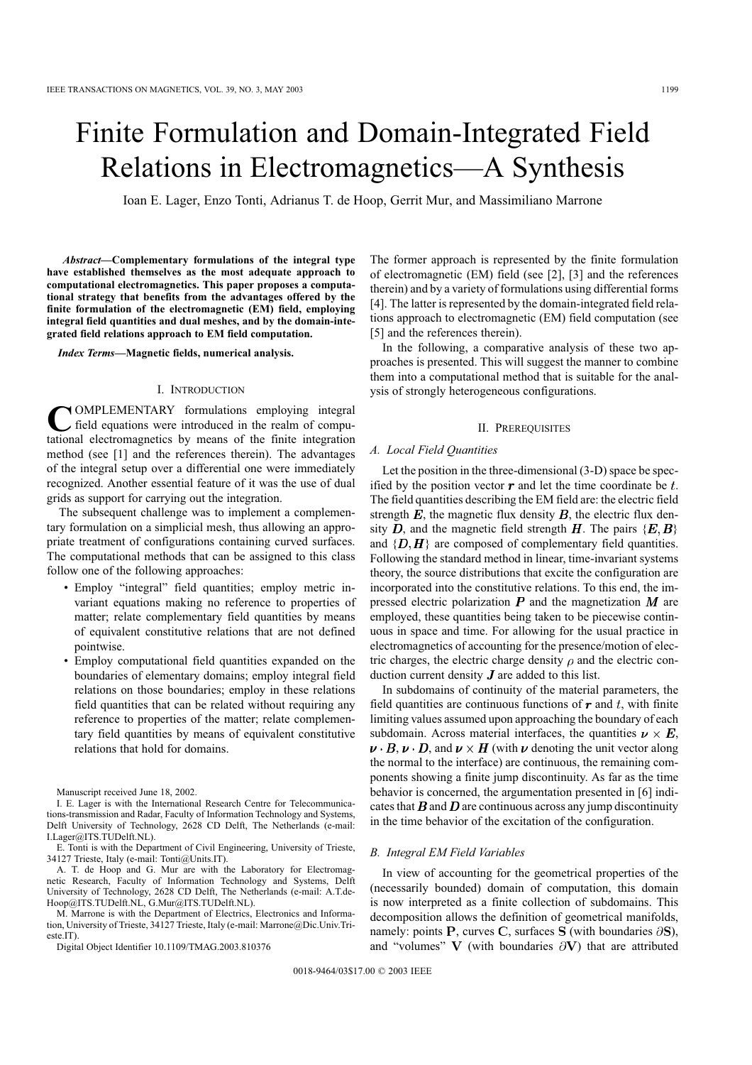# Finite Formulation and Domain-Integrated Field Relations in Electromagnetics—A Synthesis

Ioan E. Lager, Enzo Tonti, Adrianus T. de Hoop, Gerrit Mur, and Massimiliano Marrone

*Abstract—***Complementary formulations of the integral type have established themselves as the most adequate approach to computational electromagnetics. This paper proposes a computational strategy that benefits from the advantages offered by the finite formulation of the electromagnetic (EM) field, employing integral field quantities and dual meshes, and by the domain-integrated field relations approach to EM field computation.**

*Index Terms—***Magnetic fields, numerical analysis.**

### I. INTRODUCTION

**C** OMPLEMENTARY formulations employing integral field equations were introduced in the realm of computational electromagnetics by means of the finite integration OMPLEMENTARY formulations employing integral field equations were introduced in the realm of compumethod (see [1] and the references therein). The advantages of the integral setup over a differential one were immediately recognized. Another essential feature of it was the use of dual grids as support for carrying out the integration.

The subsequent challenge was to implement a complementary formulation on a simplicial mesh, thus allowing an appropriate treatment of configurations containing curved surfaces. The computational methods that can be assigned to this class follow one of the following approaches:

- Employ "integral" field quantities; employ metric invariant equations making no reference to properties of matter; relate complementary field quantities by means of equivalent constitutive relations that are not defined pointwise.
- Employ computational field quantities expanded on the boundaries of elementary domains; employ integral field relations on those boundaries; employ in these relations field quantities that can be related without requiring any reference to properties of the matter; relate complementary field quantities by means of equivalent constitutive relations that hold for domains.

Manuscript received June 18, 2002.

I. E. Lager is with the International Research Centre for Telecommunications-transmission and Radar, Faculty of Information Technology and Systems, Delft University of Technology, 2628 CD Delft, The Netherlands (e-mail: I.Lager@ITS.TUDelft.NL).

E. Tonti is with the Department of Civil Engineering, University of Trieste, 34127 Trieste, Italy (e-mail: Tonti@Units.IT).

A. T. de Hoop and G. Mur are with the Laboratory for Electromagnetic Research, Faculty of Information Technology and Systems, Delft University of Technology, 2628 CD Delft, The Netherlands (e-mail: A.T.de-Hoop@ITS.TUDelft.NL, G.Mur@ITS.TUDelft.NL).

M. Marrone is with the Department of Electrics, Electronics and Information, University of Trieste, 34127 Trieste, Italy (e-mail: Marrone@Dic.Univ.Trieste.IT).

Digital Object Identifier 10.1109/TMAG.2003.810376

The former approach is represented by the finite formulation of electromagnetic (EM) field (see [2], [3] and the references therein) and by a variety of formulations using differential forms [4]. The latter is represented by the domain-integrated field relations approach to electromagnetic (EM) field computation (see [5] and the references therein).

In the following, a comparative analysis of these two approaches is presented. This will suggest the manner to combine them into a computational method that is suitable for the analysis of strongly heterogeneous configurations.

## II. PREREQUISITES

## *A. Local Field Quantities*

Let the position in the three-dimensional (3-D) space be specified by the position vector  $\boldsymbol{r}$  and let the time coordinate be  $t$ . The field quantities describing the EM field are: the electric field strength  $E$ , the magnetic flux density  $B$ , the electric flux density D, and the magnetic field strength H. The pairs  $\{E, B\}$ and  $\{D, H\}$  are composed of complementary field quantities. Following the standard method in linear, time-invariant systems theory, the source distributions that excite the configuration are incorporated into the constitutive relations. To this end, the impressed electric polarization  $P$  and the magnetization  $M$  are employed, these quantities being taken to be piecewise continuous in space and time. For allowing for the usual practice in electromagnetics of accounting for the presence/motion of electric charges, the electric charge density  $\rho$  and the electric conduction current density  $J$  are added to this list.

In subdomains of continuity of the material parameters, the field quantities are continuous functions of  $\boldsymbol{r}$  and  $t$ , with finite limiting values assumed upon approaching the boundary of each subdomain. Across material interfaces, the quantities  $\nu \times E$ ,  $\nu \cdot B$ ,  $\nu \cdot D$ , and  $\nu \times H$  (with  $\nu$  denoting the unit vector along the normal to the interface) are continuous, the remaining components showing a finite jump discontinuity. As far as the time behavior is concerned, the argumentation presented in [6] indicates that  $B$  and  $D$  are continuous across any jump discontinuity in the time behavior of the excitation of the configuration.

## *B. Integral EM Field Variables*

In view of accounting for the geometrical properties of the (necessarily bounded) domain of computation, this domain is now interpreted as a finite collection of subdomains. This decomposition allows the definition of geometrical manifolds, namely: points P, curves C, surfaces S (with boundaries  $\partial$ S), and "volumes"  $V$  (with boundaries  $\partial V$ ) that are attributed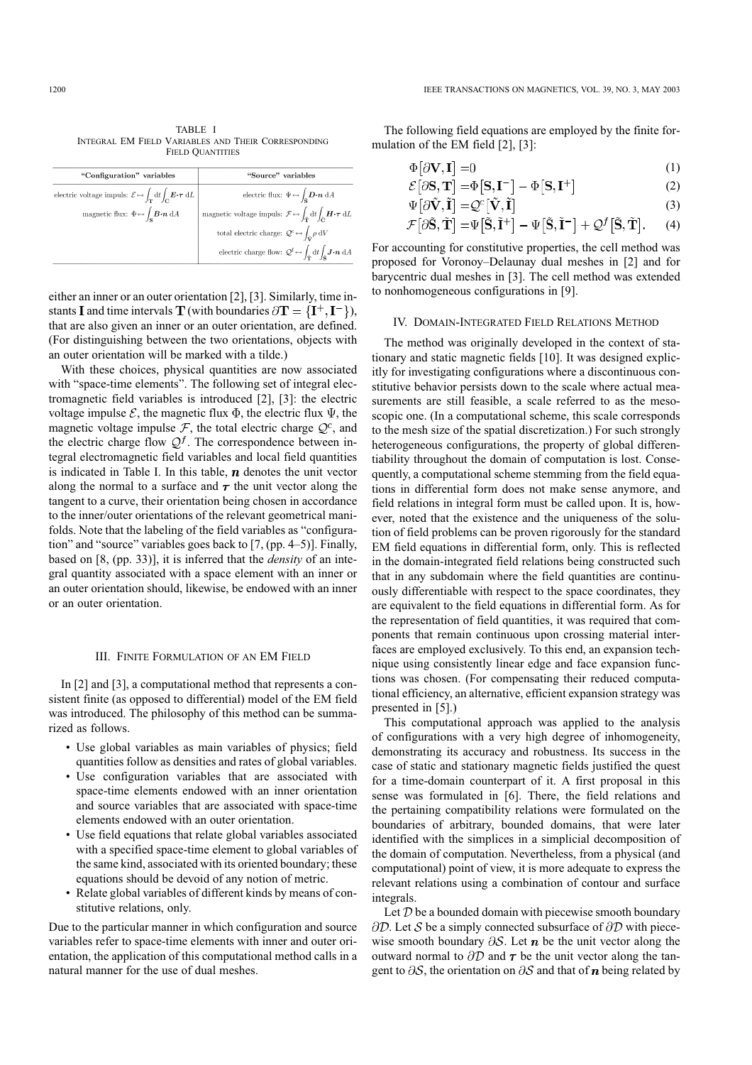TABLE I INTEGRAL EM FIELD VARIABLES AND THEIR CORRESPONDING FIELD QUANTITIES

| "Configuration" variables                                                                                                           | "Source" variables                                                                                                                          |
|-------------------------------------------------------------------------------------------------------------------------------------|---------------------------------------------------------------------------------------------------------------------------------------------|
| electric voltage impuls: $\mathcal{E} \leftrightarrow \int_{\mathbf{T}} dt \int_{\mathbf{C}} \mathbf{E} \cdot \boldsymbol{\tau} dL$ | electric flux: $\Psi \leftrightarrow \int_{\tilde{\mathbf{e}}} \mathbf{D} \cdot \mathbf{n} \, dA$                                           |
| magnetic flux: $\Phi \leftrightarrow \int_{\mathbf{S}} \mathbf{B} \cdot \mathbf{n} \, dA$                                           | magnetic voltage impuls: $\mathcal{F} \leftrightarrow \int_{\mathcal{F}} dt \int_{\mathcal{F}} \mathbf{H} \cdot \boldsymbol{\tau} dL$       |
|                                                                                                                                     | total electric charge: $\mathcal{Q}^c \leftrightarrow \int_{\tilde{\mathbf{M}}} \rho \, dV$                                                 |
|                                                                                                                                     | electric charge flow: $\mathcal{Q}^f \leftrightarrow \int_{\tilde{\mathbf{r}}} dt \int_{\tilde{\mathbf{e}}} \mathbf{J} \cdot \mathbf{n} dA$ |

either an inner or an outer orientation [2], [3]. Similarly, time instants **I** and time intervals **T** (with boundaries  $\partial$ **T** = {**I**<sup>+</sup>, **I**<sup>-</sup>}), that are also given an inner or an outer orientation, are defined. (For distinguishing between the two orientations, objects with an outer orientation will be marked with a tilde.)

With these choices, physical quantities are now associated with "space-time elements". The following set of integral electromagnetic field variables is introduced [2], [3]: the electric voltage impulse  $\mathcal{E}$ , the magnetic flux  $\Phi$ , the electric flux  $\Psi$ , the magnetic voltage impulse  $\mathcal F$ , the total electric charge  $\mathcal Q^c$ , and the electric charge flow  $\mathcal{Q}^f$ . The correspondence between integral electromagnetic field variables and local field quantities is indicated in Table I. In this table,  $n$  denotes the unit vector along the normal to a surface and  $\tau$  the unit vector along the tangent to a curve, their orientation being chosen in accordance to the inner/outer orientations of the relevant geometrical manifolds. Note that the labeling of the field variables as "configuration" and "source" variables goes back to [7, (pp. 4–5)]. Finally, based on [8, (pp. 33)], it is inferred that the *density* of an integral quantity associated with a space element with an inner or an outer orientation should, likewise, be endowed with an inner or an outer orientation.

# III. FINITE FORMULATION OF AN EM FIELD

In [2] and [3], a computational method that represents a consistent finite (as opposed to differential) model of the EM field was introduced. The philosophy of this method can be summarized as follows.

- Use global variables as main variables of physics; field quantities follow as densities and rates of global variables.
- Use configuration variables that are associated with space-time elements endowed with an inner orientation and source variables that are associated with space-time elements endowed with an outer orientation.
- Use field equations that relate global variables associated with a specified space-time element to global variables of the same kind, associated with its oriented boundary; these equations should be devoid of any notion of metric.
- Relate global variables of different kinds by means of constitutive relations, only.

Due to the particular manner in which configuration and source variables refer to space-time elements with inner and outer orientation, the application of this computational method calls in a natural manner for the use of dual meshes.

The following field equations are employed by the finite formulation of the EM field [2], [3]:

$$
\Phi[\partial \mathbf{V}, \mathbf{I}] = 0 \tag{1}
$$

$$
\mathcal{E}[\partial \mathbf{S}, \mathbf{T}] = \Phi[\mathbf{S}, \mathbf{I}^-] - \Phi[\mathbf{S}, \mathbf{I}^+]
$$
 (2)

$$
\Psi[\partial \mathbf{V}, \mathbf{I}] = \mathcal{Q}^c[\mathbf{V}, \mathbf{I}] \tag{3}
$$
\n
$$
\mathcal{L}[\partial \tilde{\mathbf{V}}, \tilde{\mathbf{I}}] = \mathcal{L}^c[\tilde{\mathbf{V}}, \tilde{\mathbf{I}}] = \mathcal{L}^c[\tilde{\mathbf{V}}, \tilde{\mathbf{I}}] = \mathcal{L}^c[\tilde{\mathbf{V}}, \tilde{\mathbf{I}}] = \mathcal{L}^c[\tilde{\mathbf{V}}, \tilde{\mathbf{I}}] = \mathcal{L}^c[\tilde{\mathbf{V}}, \tilde{\mathbf{I}}] = \mathcal{L}^c[\tilde{\mathbf{V}}, \tilde{\mathbf{I}}] = \mathcal{L}^c[\tilde{\mathbf{V}}, \tilde{\mathbf{I}}] = \mathcal{L}^c[\tilde{\mathbf{V}}, \tilde{\mathbf{I}}] = \mathcal{L}^c[\tilde{\mathbf{V}}, \tilde{\mathbf{I}}] = \mathcal{L}^c[\tilde{\mathbf{V}}, \tilde{\mathbf{I}}] = \mathcal{L}^c[\tilde{\mathbf{V}}, \tilde{\mathbf{I}}] = \mathcal{L}^c[\tilde{\mathbf{V}}, \tilde{\mathbf{I}}] = \mathcal{L}^c[\mathbf{V}, \tilde{\mathbf{I}}] = \mathcal{L}^c[\mathbf{V}, \tilde{\mathbf{I}}] = \mathcal{L}^c[\mathbf{V}, \tilde{\mathbf{I}}] = \mathcal{L}^c[\mathbf{V}, \tilde{\mathbf{I}}] = \mathcal{L}^c[\mathbf{V}, \tilde{\mathbf{I}}] = \mathcal{L}^c[\mathbf{V}, \tilde{\mathbf{I}}] = \mathcal{L}^c[\mathbf{V}, \tilde{\mathbf{I}}] = \mathcal{L}^c[\mathbf{V}, \tilde{\mathbf{I}}] = \mathcal{L}^c[\mathbf{V}, \tilde{\mathbf{I}}] = \mathcal{L}^c[\mathbf{V}, \tilde{\mathbf{I}}] = \mathcal{L}^c[\mathbf{V}, \tilde{\mathbf{I}}] = \mathcal{L}^c[\mathbf{V}, \tilde{\mathbf{I}}] = \mathcal{L}^c[\mathbf{V}, \tilde{\mathbf{I}}] = \mathcal{L}^c[\mathbf{V}, \tilde{\mathbf{
$$

$$
\mathcal{F}[\partial \dot{\mathbf{S}}, \dot{\mathbf{T}}] = \Psi[\dot{\mathbf{S}}, \dot{\mathbf{I}}^+] - \Psi[\dot{\mathbf{S}}, \dot{\mathbf{I}}^-] + \mathcal{Q}^f[\dot{\mathbf{S}}, \dot{\mathbf{T}}]. \tag{4}
$$

For accounting for constitutive properties, the cell method was proposed for Voronoy–Delaunay dual meshes in [2] and for barycentric dual meshes in [3]. The cell method was extended to nonhomogeneous configurations in [9].

#### IV. DOMAIN-INTEGRATED FIELD RELATIONS METHOD

The method was originally developed in the context of stationary and static magnetic fields [10]. It was designed explicitly for investigating configurations where a discontinuous constitutive behavior persists down to the scale where actual measurements are still feasible, a scale referred to as the mesoscopic one. (In a computational scheme, this scale corresponds to the mesh size of the spatial discretization.) For such strongly heterogeneous configurations, the property of global differentiability throughout the domain of computation is lost. Consequently, a computational scheme stemming from the field equations in differential form does not make sense anymore, and field relations in integral form must be called upon. It is, however, noted that the existence and the uniqueness of the solution of field problems can be proven rigorously for the standard EM field equations in differential form, only. This is reflected in the domain-integrated field relations being constructed such that in any subdomain where the field quantities are continuously differentiable with respect to the space coordinates, they are equivalent to the field equations in differential form. As for the representation of field quantities, it was required that components that remain continuous upon crossing material interfaces are employed exclusively. To this end, an expansion technique using consistently linear edge and face expansion functions was chosen. (For compensating their reduced computational efficiency, an alternative, efficient expansion strategy was presented in [5].)

This computational approach was applied to the analysis of configurations with a very high degree of inhomogeneity, demonstrating its accuracy and robustness. Its success in the case of static and stationary magnetic fields justified the quest for a time-domain counterpart of it. A first proposal in this sense was formulated in [6]. There, the field relations and the pertaining compatibility relations were formulated on the boundaries of arbitrary, bounded domains, that were later identified with the simplices in a simplicial decomposition of the domain of computation. Nevertheless, from a physical (and computational) point of view, it is more adequate to express the relevant relations using a combination of contour and surface integrals

Let  $D$  be a bounded domain with piecewise smooth boundary  $\partial \mathcal{D}$ . Let S be a simply connected subsurface of  $\partial \mathcal{D}$  with piecewise smooth boundary  $\partial S$ . Let **n** be the unit vector along the outward normal to  $\partial D$  and  $\tau$  be the unit vector along the tangent to  $\partial S$ , the orientation on  $\partial S$  and that of *n* being related by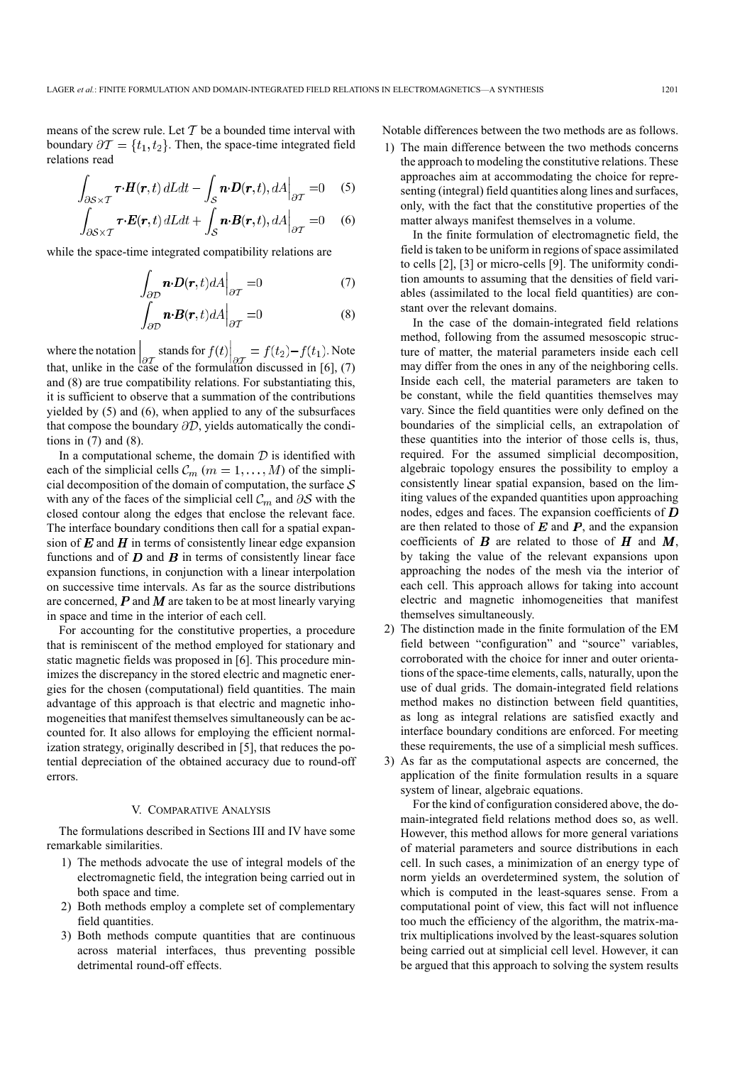means of the screw rule. Let  $T$  be a bounded time interval with boundary  $\partial \mathcal{T} = \{t_1, t_2\}$ . Then, the space-time integrated field relations read

$$
\int_{\partial S \times T} \boldsymbol{\tau} \cdot \boldsymbol{H}(\boldsymbol{r}, t) dL dt - \int_{S} \boldsymbol{n} \cdot \boldsymbol{D}(\boldsymbol{r}, t), dA \Big|_{\partial T} = 0 \quad (5)
$$

$$
\int_{\partial S \times T} \boldsymbol{\tau} \cdot \boldsymbol{E}(\boldsymbol{r}, t) dL dt + \int_{S} \boldsymbol{n} \cdot \boldsymbol{B}(\boldsymbol{r}, t), dA \Big|_{\partial T} = 0 \quad (6)
$$

while the space-time integrated compatibility relations are

$$
\int_{\partial \mathcal{D}} \boldsymbol{n} \cdot \boldsymbol{D}(\boldsymbol{r}, t) dA \Big|_{\partial \mathcal{T}} = 0 \tag{7}
$$

$$
\int_{\partial \mathcal{D}} \boldsymbol{n} \cdot \boldsymbol{B}(\boldsymbol{r}, t) dA \Big|_{\partial \mathcal{T}} = 0 \tag{8}
$$

where the notation stands for  $f(t) = f(t_2) - f(t_1)$ . Note that, unlike in the case of the formulation discussed in [6], (7) and (8) are true compatibility relations. For substantiating this, it is sufficient to observe that a summation of the contributions yielded by (5) and (6), when applied to any of the subsurfaces that compose the boundary  $\partial \mathcal{D}$ , yields automatically the conditions in  $(7)$  and  $(8)$ .

In a computational scheme, the domain  $D$  is identified with each of the simplicial cells  $C_m$   $(m = 1, \ldots, M)$  of the simplicial decomposition of the domain of computation, the surface  $S$ with any of the faces of the simplicial cell  $\mathcal{C}_m$  and  $\partial \mathcal{S}$  with the closed contour along the edges that enclose the relevant face. The interface boundary conditions then call for a spatial expansion of  $E$  and  $H$  in terms of consistently linear edge expansion functions and of  $D$  and  $B$  in terms of consistently linear face expansion functions, in conjunction with a linear interpolation on successive time intervals. As far as the source distributions are concerned,  $P$  and  $M$  are taken to be at most linearly varying in space and time in the interior of each cell.

For accounting for the constitutive properties, a procedure that is reminiscent of the method employed for stationary and static magnetic fields was proposed in [6]. This procedure minimizes the discrepancy in the stored electric and magnetic energies for the chosen (computational) field quantities. The main advantage of this approach is that electric and magnetic inhomogeneities that manifest themselves simultaneously can be accounted for. It also allows for employing the efficient normalization strategy, originally described in [5], that reduces the potential depreciation of the obtained accuracy due to round-off errors.

# V. COMPARATIVE ANALYSIS

The formulations described in Sections III and IV have some remarkable similarities.

- 1) The methods advocate the use of integral models of the electromagnetic field, the integration being carried out in both space and time.
- 2) Both methods employ a complete set of complementary field quantities.
- 3) Both methods compute quantities that are continuous across material interfaces, thus preventing possible detrimental round-off effects.

Notable differences between the two methods are as follows.

1) The main difference between the two methods concerns the approach to modeling the constitutive relations. These approaches aim at accommodating the choice for representing (integral) field quantities along lines and surfaces, only, with the fact that the constitutive properties of the matter always manifest themselves in a volume.

In the finite formulation of electromagnetic field, the field is taken to be uniform in regions of space assimilated to cells [2], [3] or micro-cells [9]. The uniformity condition amounts to assuming that the densities of field variables (assimilated to the local field quantities) are constant over the relevant domains.

In the case of the domain-integrated field relations method, following from the assumed mesoscopic structure of matter, the material parameters inside each cell may differ from the ones in any of the neighboring cells. Inside each cell, the material parameters are taken to be constant, while the field quantities themselves may vary. Since the field quantities were only defined on the boundaries of the simplicial cells, an extrapolation of these quantities into the interior of those cells is, thus, required. For the assumed simplicial decomposition, algebraic topology ensures the possibility to employ a consistently linear spatial expansion, based on the limiting values of the expanded quantities upon approaching nodes, edges and faces. The expansion coefficients of  $D$ are then related to those of  $E$  and  $P$ , and the expansion coefficients of  $\bf{B}$  are related to those of  $\bf{H}$  and  $\bf{M}$ , by taking the value of the relevant expansions upon approaching the nodes of the mesh via the interior of each cell. This approach allows for taking into account electric and magnetic inhomogeneities that manifest themselves simultaneously.

- 2) The distinction made in the finite formulation of the EM field between "configuration" and "source" variables, corroborated with the choice for inner and outer orientations of the space-time elements, calls, naturally, upon the use of dual grids. The domain-integrated field relations method makes no distinction between field quantities, as long as integral relations are satisfied exactly and interface boundary conditions are enforced. For meeting these requirements, the use of a simplicial mesh suffices.
- 3) As far as the computational aspects are concerned, the application of the finite formulation results in a square system of linear, algebraic equations.

For the kind of configuration considered above, the domain-integrated field relations method does so, as well. However, this method allows for more general variations of material parameters and source distributions in each cell. In such cases, a minimization of an energy type of norm yields an overdetermined system, the solution of which is computed in the least-squares sense. From a computational point of view, this fact will not influence too much the efficiency of the algorithm, the matrix-matrix multiplications involved by the least-squares solution being carried out at simplicial cell level. However, it can be argued that this approach to solving the system results